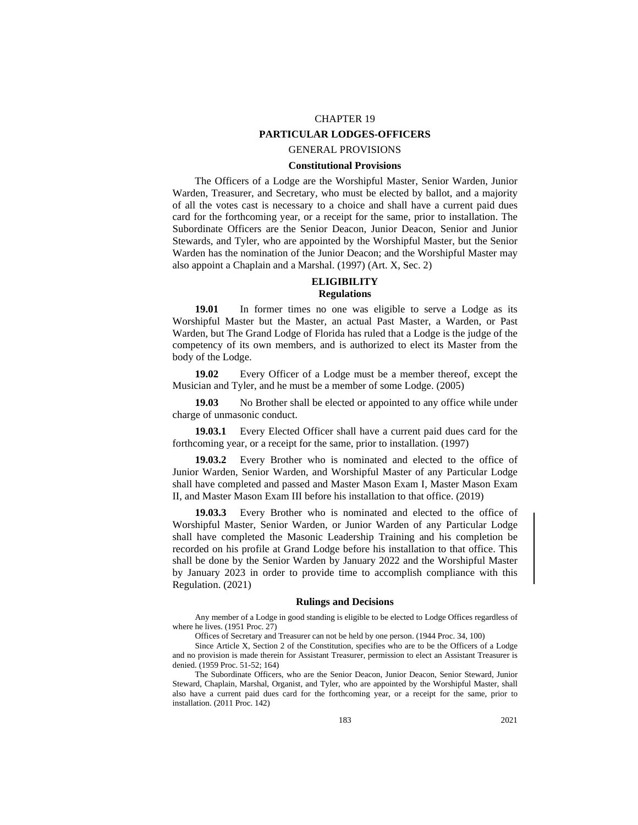# CHAPTER 19 **PARTICULAR LODGES-OFFICERS**

## GENERAL PROVISIONS

# **Constitutional Provisions**

The Officers of a Lodge are the Worshipful Master, Senior Warden, Junior Warden, Treasurer, and Secretary, who must be elected by ballot, and a majority of all the votes cast is necessary to a choice and shall have a current paid dues card for the forthcoming year, or a receipt for the same, prior to installation. The Subordinate Officers are the Senior Deacon, Junior Deacon, Senior and Junior Stewards, and Tyler, who are appointed by the Worshipful Master, but the Senior Warden has the nomination of the Junior Deacon; and the Worshipful Master may also appoint a Chaplain and a Marshal. (1997) (Art. X, Sec. 2)

# **ELIGIBILITY Regulations**

**19.01** In former times no one was eligible to serve a Lodge as its Worshipful Master but the Master, an actual Past Master, a Warden, or Past Warden, but The Grand Lodge of Florida has ruled that a Lodge is the judge of the competency of its own members, and is authorized to elect its Master from the body of the Lodge.

**19.02** Every Officer of a Lodge must be a member thereof, except the Musician and Tyler, and he must be a member of some Lodge. (2005)

**19.03** No Brother shall be elected or appointed to any office while under charge of unmasonic conduct.

**19.03.1** Every Elected Officer shall have a current paid dues card for the forthcoming year, or a receipt for the same, prior to installation. (1997)

**19.03.2** Every Brother who is nominated and elected to the office of Junior Warden, Senior Warden, and Worshipful Master of any Particular Lodge shall have completed and passed and Master Mason Exam I, Master Mason Exam II, and Master Mason Exam III before his installation to that office. (2019)

**19.03.3** Every Brother who is nominated and elected to the office of Worshipful Master, Senior Warden, or Junior Warden of any Particular Lodge shall have completed the Masonic Leadership Training and his completion be recorded on his profile at Grand Lodge before his installation to that office. This shall be done by the Senior Warden by January 2022 and the Worshipful Master by January 2023 in order to provide time to accomplish compliance with this Regulation. (2021)

#### **Rulings and Decisions**

Any member of a Lodge in good standing is eligible to be elected to Lodge Offices regardless of where he lives. (1951 Proc. 27)

Offices of Secretary and Treasurer can not be held by one person. (1944 Proc. 34, 100)

Since Article X, Section 2 of the Constitution, specifies who are to be the Officers of a Lodge and no provision is made therein for Assistant Treasurer, permission to elect an Assistant Treasurer is denied. (1959 Proc. 51-52; 164)

The Subordinate Officers, who are the Senior Deacon, Junior Deacon, Senior Steward, Junior Steward, Chaplain, Marshal, Organist, and Tyler, who are appointed by the Worshipful Master, shall also have a current paid dues card for the forthcoming year, or a receipt for the same, prior to installation. (2011 Proc. 142)

183 2021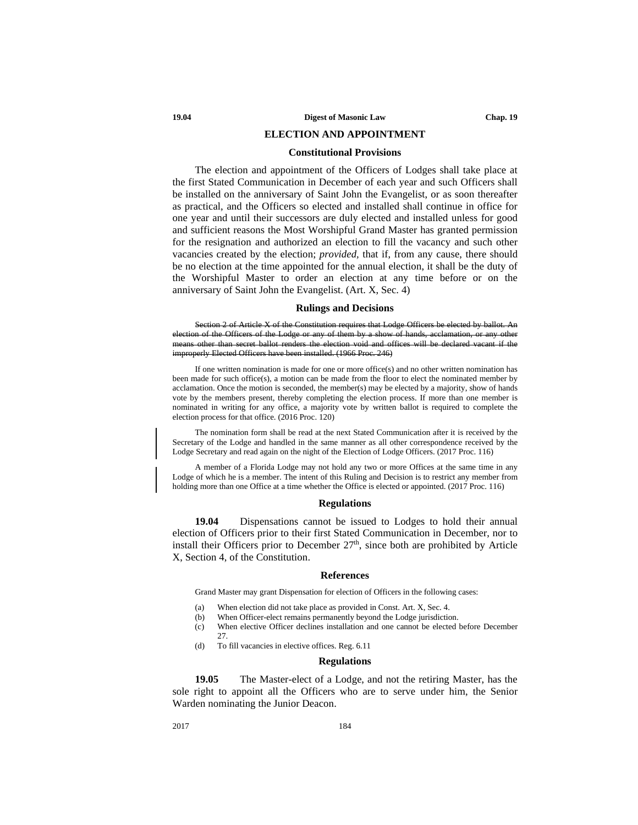## **ELECTION AND APPOINTMENT**

## **Constitutional Provisions**

The election and appointment of the Officers of Lodges shall take place at the first Stated Communication in December of each year and such Officers shall be installed on the anniversary of Saint John the Evangelist, or as soon thereafter as practical, and the Officers so elected and installed shall continue in office for one year and until their successors are duly elected and installed unless for good and sufficient reasons the Most Worshipful Grand Master has granted permission for the resignation and authorized an election to fill the vacancy and such other vacancies created by the election; *provided,* that if, from any cause, there should be no election at the time appointed for the annual election, it shall be the duty of the Worshipful Master to order an election at any time before or on the anniversary of Saint John the Evangelist. (Art. X, Sec. 4)

#### **Rulings and Decisions**

Section 2 of Article X of the Constitution requires that Lodge Officers be elected by ballot. on of the Officers of the Lodge or any of them by a show of hands, acclamation, or any other means other than secret ballot renders the election void and offices will be declared vacant if the improperly Elected Officers have been installed. (1966 Proc. 246)

If one written nomination is made for one or more office(s) and no other written nomination has been made for such office(s), a motion can be made from the floor to elect the nominated member by acclamation. Once the motion is seconded, the member(s) may be elected by a majority, show of hands vote by the members present, thereby completing the election process. If more than one member is nominated in writing for any office, a majority vote by written ballot is required to complete the election process for that office. (2016 Proc. 120)

The nomination form shall be read at the next Stated Communication after it is received by the Secretary of the Lodge and handled in the same manner as all other correspondence received by the Lodge Secretary and read again on the night of the Election of Lodge Officers. (2017 Proc. 116)

A member of a Florida Lodge may not hold any two or more Offices at the same time in any Lodge of which he is a member. The intent of this Ruling and Decision is to restrict any member from holding more than one Office at a time whether the Office is elected or appointed. (2017 Proc. 116)

## **Regulations**

**19.04** Dispensations cannot be issued to Lodges to hold their annual election of Officers prior to their first Stated Communication in December, nor to install their Officers prior to December  $27<sup>th</sup>$ , since both are prohibited by Article X, Section 4, of the Constitution.

#### **References**

Grand Master may grant Dispensation for election of Officers in the following cases:

- (a) When election did not take place as provided in Const. Art. X, Sec. 4.
- (b) When Officer-elect remains permanently beyond the Lodge jurisdiction.
- (c) When elective Officer declines installation and one cannot be elected before December 27.
- (d) To fill vacancies in elective offices. Reg. 6.11

#### **Regulations**

**19.05** The Master-elect of a Lodge, and not the retiring Master, has the sole right to appoint all the Officers who are to serve under him, the Senior Warden nominating the Junior Deacon.

2017 184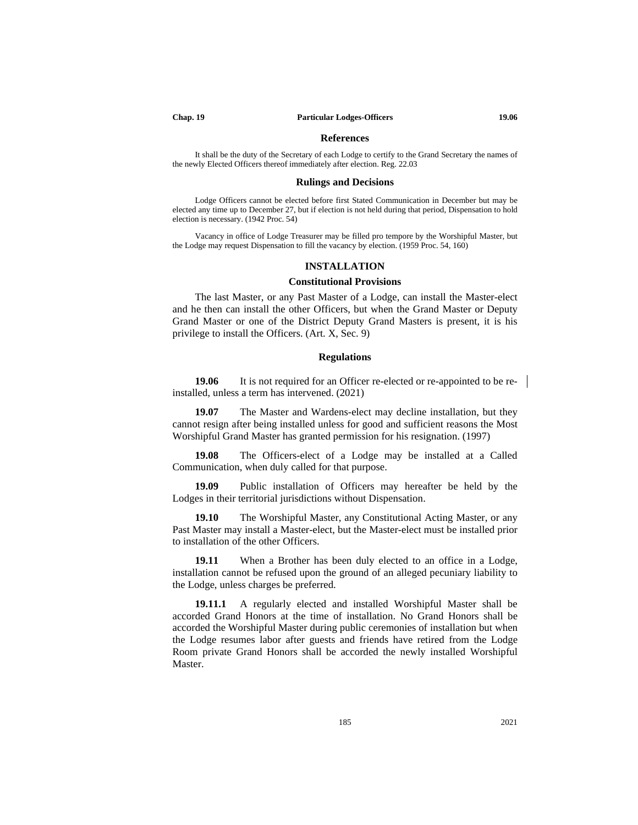#### **References**

It shall be the duty of the Secretary of each Lodge to certify to the Grand Secretary the names of the newly Elected Officers thereof immediately after election. Reg. 22.03

## **Rulings and Decisions**

Lodge Officers cannot be elected before first Stated Communication in December but may be elected any time up to December 27, but if election is not held during that period, Dispensation to hold election is necessary. (1942 Proc. 54)

Vacancy in office of Lodge Treasurer may be filled pro tempore by the Worshipful Master, but the Lodge may request Dispensation to fill the vacancy by election. (1959 Proc. 54, 160)

## **INSTALLATION**

## **Constitutional Provisions**

The last Master, or any Past Master of a Lodge, can install the Master-elect and he then can install the other Officers, but when the Grand Master or Deputy Grand Master or one of the District Deputy Grand Masters is present, it is his privilege to install the Officers. (Art. X, Sec. 9)

## **Regulations**

**19.06** It is not required for an Officer re-elected or re-appointed to be reinstalled, unless a term has intervened. (2021)

**19.07** The Master and Wardens-elect may decline installation, but they cannot resign after being installed unless for good and sufficient reasons the Most Worshipful Grand Master has granted permission for his resignation. (1997)

**19.08** The Officers-elect of a Lodge may be installed at a Called Communication, when duly called for that purpose.

**19.09** Public installation of Officers may hereafter be held by the Lodges in their territorial jurisdictions without Dispensation.

**19.10** The Worshipful Master, any Constitutional Acting Master, or any Past Master may install a Master-elect, but the Master-elect must be installed prior to installation of the other Officers.

**19.11** When a Brother has been duly elected to an office in a Lodge, installation cannot be refused upon the ground of an alleged pecuniary liability to the Lodge, unless charges be preferred.

**19.11.1** A regularly elected and installed Worshipful Master shall be accorded Grand Honors at the time of installation. No Grand Honors shall be accorded the Worshipful Master during public ceremonies of installation but when the Lodge resumes labor after guests and friends have retired from the Lodge Room private Grand Honors shall be accorded the newly installed Worshipful Master.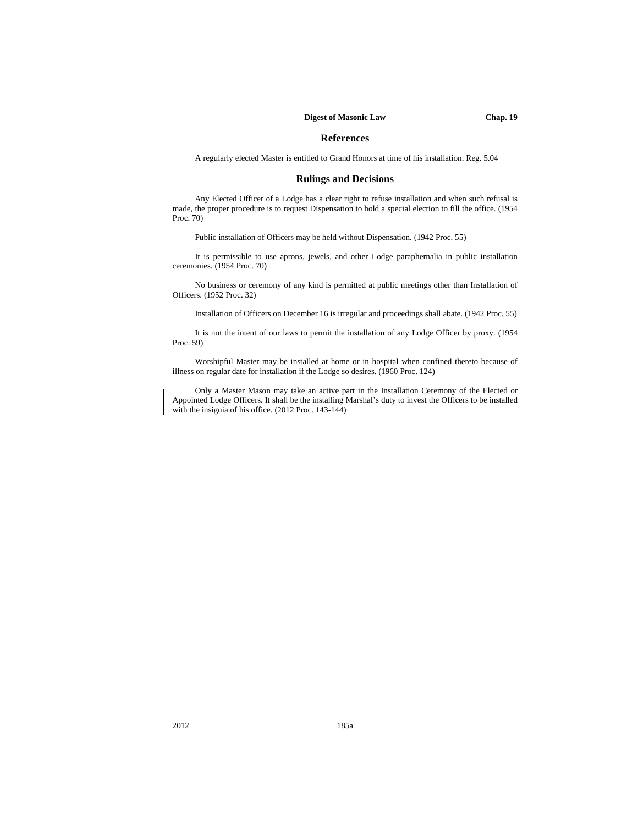#### **Digest of Masonic Law Chap. 19**

# **References**

A regularly elected Master is entitled to Grand Honors at time of his installation. Reg. 5.04

## **Rulings and Decisions**

Any Elected Officer of a Lodge has a clear right to refuse installation and when such refusal is made, the proper procedure is to request Dispensation to hold a special election to fill the office. (1954 Proc. 70)

Public installation of Officers may be held without Dispensation. (1942 Proc. 55)

It is permissible to use aprons, jewels, and other Lodge paraphernalia in public installation ceremonies. (1954 Proc. 70)

No business or ceremony of any kind is permitted at public meetings other than Installation of Officers. (1952 Proc. 32)

Installation of Officers on December 16 is irregular and proceedings shall abate. (1942 Proc. 55)

It is not the intent of our laws to permit the installation of any Lodge Officer by proxy. (1954 Proc. 59)

Worshipful Master may be installed at home or in hospital when confined thereto because of illness on regular date for installation if the Lodge so desires. (1960 Proc. 124)

Only a Master Mason may take an active part in the Installation Ceremony of the Elected or Appointed Lodge Officers. It shall be the installing Marshal's duty to invest the Officers to be installed with the insignia of his office. (2012 Proc. 143-144)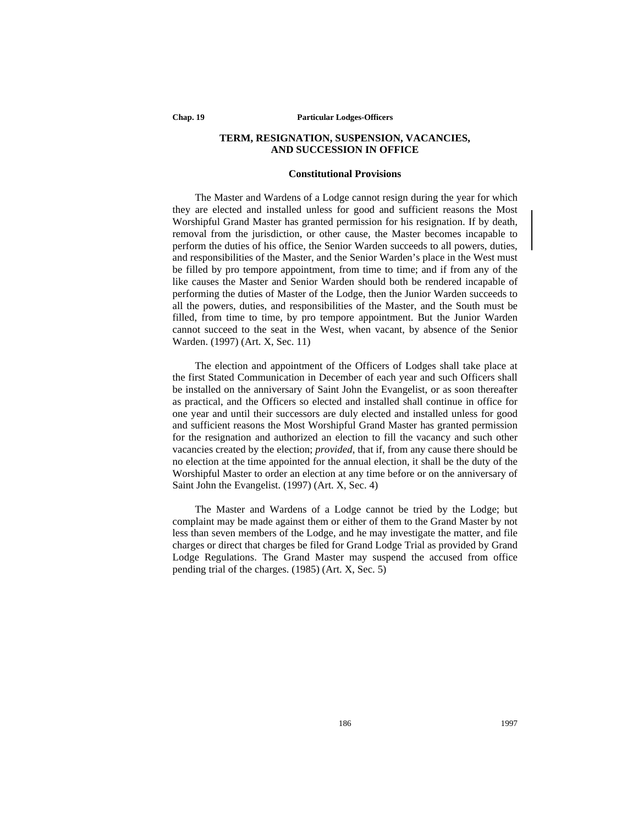**Chap. 19 Particular Lodges-Officers**

# **TERM, RESIGNATION, SUSPENSION, VACANCIES, AND SUCCESSION IN OFFICE**

## **Constitutional Provisions**

The Master and Wardens of a Lodge cannot resign during the year for which they are elected and installed unless for good and sufficient reasons the Most Worshipful Grand Master has granted permission for his resignation. If by death, removal from the jurisdiction, or other cause, the Master becomes incapable to perform the duties of his office, the Senior Warden succeeds to all powers, duties, and responsibilities of the Master, and the Senior Warden's place in the West must be filled by pro tempore appointment, from time to time; and if from any of the like causes the Master and Senior Warden should both be rendered incapable of performing the duties of Master of the Lodge, then the Junior Warden succeeds to all the powers, duties, and responsibilities of the Master, and the South must be filled, from time to time, by pro tempore appointment. But the Junior Warden cannot succeed to the seat in the West, when vacant, by absence of the Senior Warden. (1997) (Art. X, Sec. 11)

The election and appointment of the Officers of Lodges shall take place at the first Stated Communication in December of each year and such Officers shall be installed on the anniversary of Saint John the Evangelist, or as soon thereafter as practical, and the Officers so elected and installed shall continue in office for one year and until their successors are duly elected and installed unless for good and sufficient reasons the Most Worshipful Grand Master has granted permission for the resignation and authorized an election to fill the vacancy and such other vacancies created by the election; *provided*, that if, from any cause there should be no election at the time appointed for the annual election, it shall be the duty of the Worshipful Master to order an election at any time before or on the anniversary of Saint John the Evangelist. (1997) (Art. X, Sec. 4)

The Master and Wardens of a Lodge cannot be tried by the Lodge; but complaint may be made against them or either of them to the Grand Master by not less than seven members of the Lodge, and he may investigate the matter, and file charges or direct that charges be filed for Grand Lodge Trial as provided by Grand Lodge Regulations. The Grand Master may suspend the accused from office pending trial of the charges. (1985) (Art. X, Sec. 5)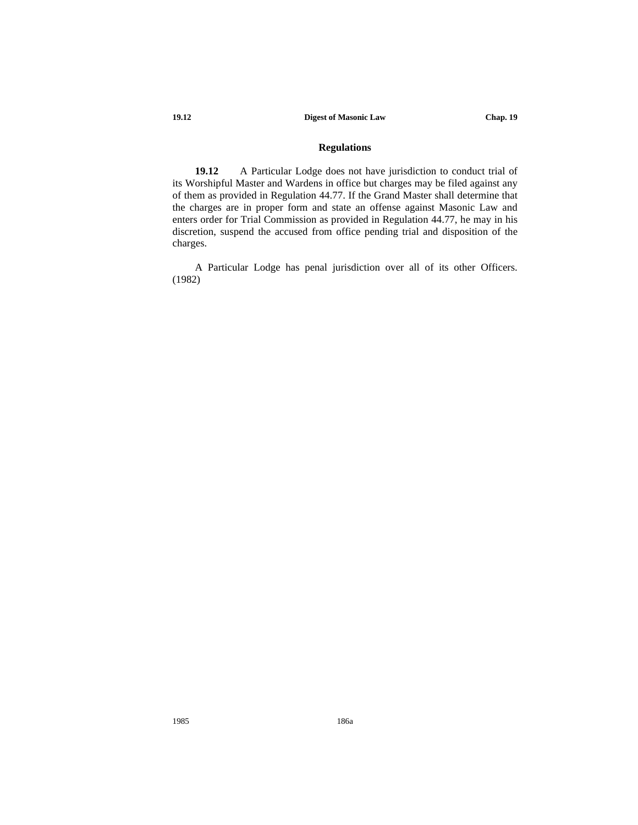# **19.12 Digest of Masonic Law Chap. 19**

# **Regulations**

**19.12** A Particular Lodge does not have jurisdiction to conduct trial of its Worshipful Master and Wardens in office but charges may be filed against any of them as provided in Regulation 44.77. If the Grand Master shall determine that the charges are in proper form and state an offense against Masonic Law and enters order for Trial Commission as provided in Regulation 44.77, he may in his discretion, suspend the accused from office pending trial and disposition of the charges.

A Particular Lodge has penal jurisdiction over all of its other Officers. (1982)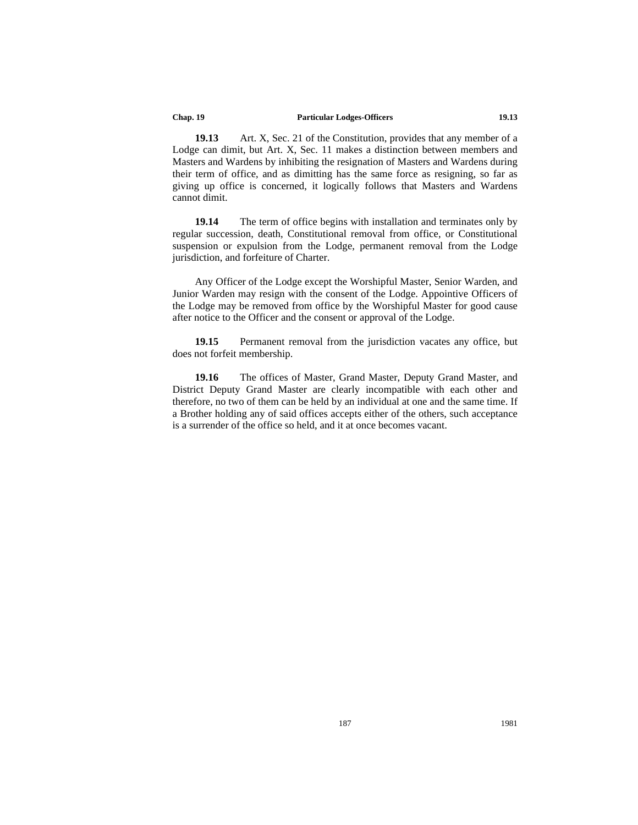#### **Chap. 19 Particular Lodges-Officers 19.13**

**19.13** Art. X, Sec. 21 of the Constitution, provides that any member of a Lodge can dimit, but Art. X, Sec. 11 makes a distinction between members and Masters and Wardens by inhibiting the resignation of Masters and Wardens during their term of office, and as dimitting has the same force as resigning, so far as giving up office is concerned, it logically follows that Masters and Wardens cannot dimit.

**19.14** The term of office begins with installation and terminates only by regular succession, death, Constitutional removal from office, or Constitutional suspension or expulsion from the Lodge, permanent removal from the Lodge jurisdiction, and forfeiture of Charter.

Any Officer of the Lodge except the Worshipful Master, Senior Warden, and Junior Warden may resign with the consent of the Lodge. Appointive Officers of the Lodge may be removed from office by the Worshipful Master for good cause after notice to the Officer and the consent or approval of the Lodge.

**19.15** Permanent removal from the jurisdiction vacates any office, but does not forfeit membership.

**19.16** The offices of Master, Grand Master, Deputy Grand Master, and District Deputy Grand Master are clearly incompatible with each other and therefore, no two of them can be held by an individual at one and the same time. If a Brother holding any of said offices accepts either of the others, such acceptance is a surrender of the office so held, and it at once becomes vacant.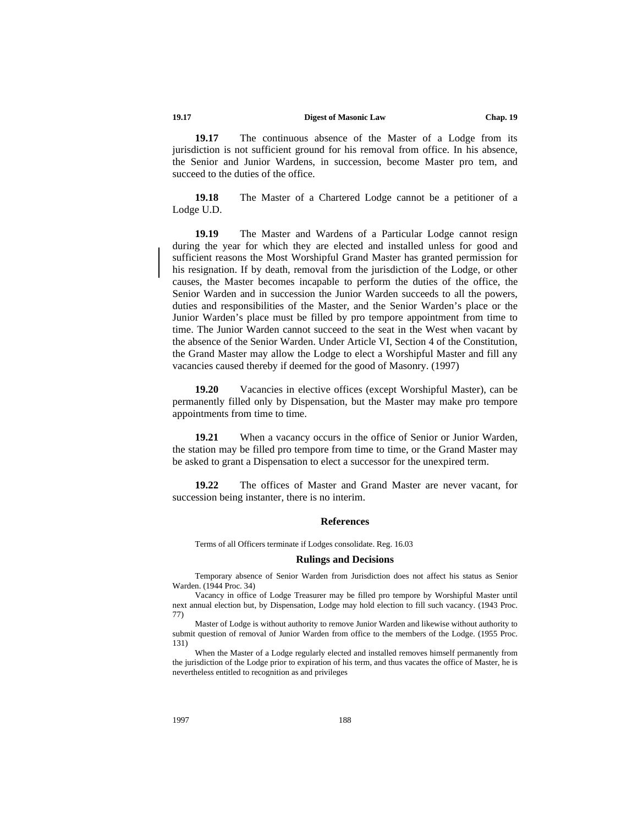## **19.17 Digest of Masonic Law Chap. 19**

**19.17** The continuous absence of the Master of a Lodge from its jurisdiction is not sufficient ground for his removal from office. In his absence, the Senior and Junior Wardens, in succession, become Master pro tem, and succeed to the duties of the office.

**19.18** The Master of a Chartered Lodge cannot be a petitioner of a Lodge U.D.

**19.19** The Master and Wardens of a Particular Lodge cannot resign during the year for which they are elected and installed unless for good and sufficient reasons the Most Worshipful Grand Master has granted permission for his resignation. If by death, removal from the jurisdiction of the Lodge, or other causes, the Master becomes incapable to perform the duties of the office, the Senior Warden and in succession the Junior Warden succeeds to all the powers, duties and responsibilities of the Master, and the Senior Warden's place or the Junior Warden's place must be filled by pro tempore appointment from time to time. The Junior Warden cannot succeed to the seat in the West when vacant by the absence of the Senior Warden. Under Article VI, Section 4 of the Constitution, the Grand Master may allow the Lodge to elect a Worshipful Master and fill any vacancies caused thereby if deemed for the good of Masonry. (1997)

**19.20** Vacancies in elective offices (except Worshipful Master), can be permanently filled only by Dispensation, but the Master may make pro tempore appointments from time to time.

19.21 When a vacancy occurs in the office of Senior or Junior Warden, the station may be filled pro tempore from time to time, or the Grand Master may be asked to grant a Dispensation to elect a successor for the unexpired term.

**19.22** The offices of Master and Grand Master are never vacant, for succession being instanter, there is no interim.

#### **References**

Terms of all Officers terminate if Lodges consolidate. Reg. 16.03

#### **Rulings and Decisions**

Temporary absence of Senior Warden from Jurisdiction does not affect his status as Senior Warden. (1944 Proc. 34)

Vacancy in office of Lodge Treasurer may be filled pro tempore by Worshipful Master until next annual election but, by Dispensation, Lodge may hold election to fill such vacancy. (1943 Proc. 77)

Master of Lodge is without authority to remove Junior Warden and likewise without authority to submit question of removal of Junior Warden from office to the members of the Lodge. (1955 Proc. 131)

When the Master of a Lodge regularly elected and installed removes himself permanently from the jurisdiction of the Lodge prior to expiration of his term, and thus vacates the office of Master, he is nevertheless entitled to recognition as and privileges